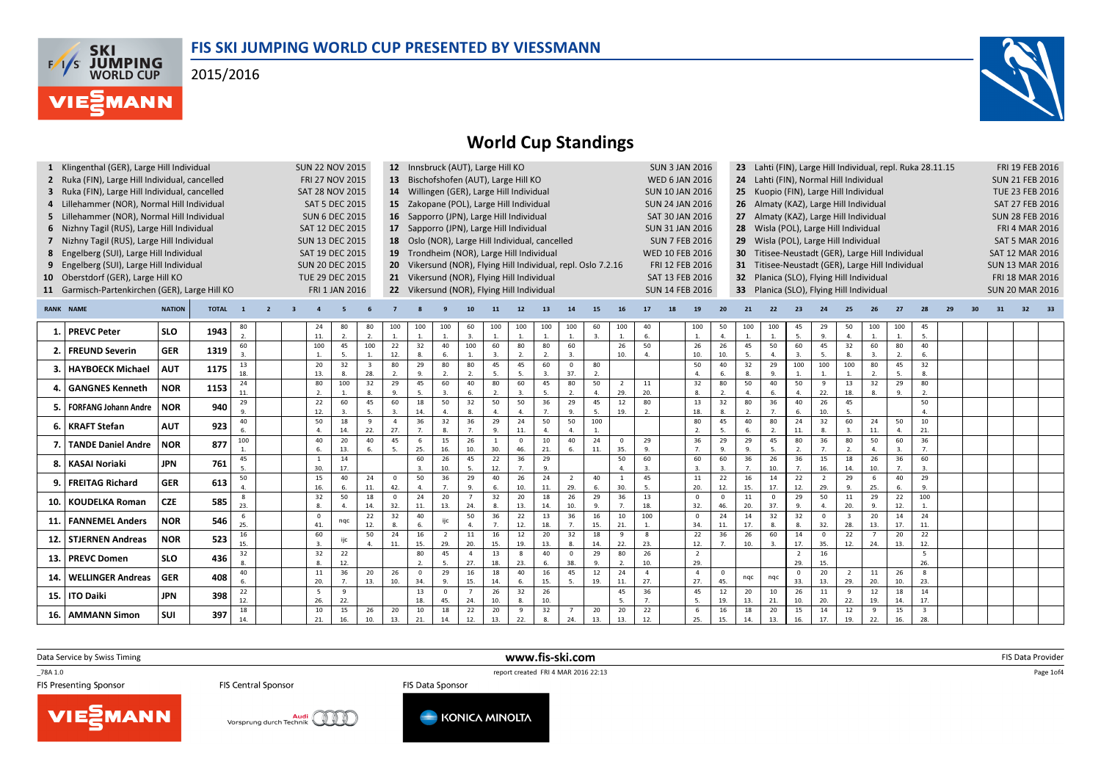## FIS SKI JUMPING WORLD CUP PRESENTED BY VIESSMANN

2015/2016





# World Cup Standings

|       | 1 Klingenthal (GER), Large Hill Individual     |               |              |                  |                |  |                        | <b>SUN 22 NOV 2015</b> |                         |                                            | 12 Innsbruck (AUT), Large Hill KO<br><b>SUN 3 JAN 2016</b><br>Lahti (FIN), Large Hill Individual, repl. Ruka 28.11.15<br>23<br>13 Bischofshofen (AUT), Large Hill KO                                          |                                                                                                                                   |                                           |                      |                        |                |                  |                      |                 |                       |                                                                                    |                      |                      |                    |                                           | FRI 19 FEB 2016               |                                     |                                     |                      |                               |                         |                        |  |    |                        |    |  |
|-------|------------------------------------------------|---------------|--------------|------------------|----------------|--|------------------------|------------------------|-------------------------|--------------------------------------------|---------------------------------------------------------------------------------------------------------------------------------------------------------------------------------------------------------------|-----------------------------------------------------------------------------------------------------------------------------------|-------------------------------------------|----------------------|------------------------|----------------|------------------|----------------------|-----------------|-----------------------|------------------------------------------------------------------------------------|----------------------|----------------------|--------------------|-------------------------------------------|-------------------------------|-------------------------------------|-------------------------------------|----------------------|-------------------------------|-------------------------|------------------------|--|----|------------------------|----|--|
|       | 2 Ruka (FIN), Large Hill Individual, cancelled |               |              |                  |                |  | FRI 27 NOV 2015        |                        |                         |                                            |                                                                                                                                                                                                               |                                                                                                                                   |                                           |                      |                        |                |                  |                      |                 | <b>WED 6 JAN 2016</b> |                                                                                    |                      | 24                   |                    |                                           |                               | Lahti (FIN), Normal Hill Individual |                                     |                      |                               |                         | <b>SUN 21 FEB 2016</b> |  |    |                        |    |  |
|       | 3 Ruka (FIN), Large Hill Individual, cancelled |               |              |                  |                |  |                        | <b>SAT 28 NOV 2015</b> |                         |                                            |                                                                                                                                                                                                               |                                                                                                                                   | 14 Willingen (GER), Large Hill Individual |                      |                        |                |                  |                      |                 |                       | <b>SUN 10 JAN 2016</b>                                                             |                      |                      | 25                 |                                           |                               |                                     | Kuopio (FIN), Large Hill Individual |                      |                               |                         |                        |  |    | TUE 23 FEB 2016        |    |  |
|       | 4 Lillehammer (NOR), Normal Hill Individual    |               |              |                  |                |  |                        | <b>SAT 5 DEC 2015</b>  |                         |                                            |                                                                                                                                                                                                               |                                                                                                                                   | 15 Zakopane (POL), Large Hill Individual  |                      |                        |                |                  |                      |                 |                       | <b>SUN 24 JAN 2016</b>                                                             |                      |                      | 26                 |                                           |                               |                                     | Almaty (KAZ), Large Hill Individual |                      |                               |                         |                        |  |    | SAT 27 FEB 2016        |    |  |
|       | 5 Lillehammer (NOR), Normal Hill Individual    |               |              |                  |                |  | <b>SUN 6 DEC 2015</b>  |                        |                         |                                            |                                                                                                                                                                                                               |                                                                                                                                   | 16 Sapporro (JPN), Large Hill Individual  |                      |                        |                |                  |                      |                 |                       | SAT 30 JAN 2016                                                                    |                      |                      | 27                 |                                           |                               |                                     | Almaty (KAZ), Large Hill Individual |                      |                               |                         |                        |  |    | <b>SUN 28 FEB 2016</b> |    |  |
|       | 6 Nizhny Tagil (RUS), Large Hill Individual    |               |              |                  |                |  |                        | SAT 12 DEC 2015        |                         |                                            |                                                                                                                                                                                                               |                                                                                                                                   | 17 Sapporro (JPN), Large Hill Individual  |                      |                        |                |                  |                      |                 |                       | <b>SUN 31 JAN 2016</b>                                                             |                      |                      | 28                 |                                           |                               |                                     | Wisla (POL), Large Hill Individual  |                      |                               |                         |                        |  |    | <b>FRI 4 MAR 2016</b>  |    |  |
|       | 7 Nizhny Tagil (RUS), Large Hill Individual    |               |              |                  |                |  |                        | <b>SUN 13 DEC 2015</b> |                         |                                            |                                                                                                                                                                                                               |                                                                                                                                   |                                           |                      |                        |                |                  |                      |                 |                       | <b>SUN 7 FEB 2016</b>                                                              |                      |                      | 29                 |                                           |                               |                                     |                                     |                      |                               |                         |                        |  |    | <b>SAT 5 MAR 2016</b>  |    |  |
|       | 8 Engelberg (SUI), Large Hill Individual       |               |              |                  |                |  | SAT 19 DEC 2015        |                        |                         |                                            | 18 Oslo (NOR), Large Hill Individual, cancelled<br>Wisla (POL), Large Hill Individual<br>19 Trondheim (NOR), Large Hill Individual<br><b>WED 10 FEB 2016</b><br>Titisee-Neustadt (GER), Large Hill Individual |                                                                                                                                   |                                           |                      |                        |                |                  |                      |                 |                       |                                                                                    |                      |                      |                    |                                           |                               |                                     | <b>SAT 12 MAR 2016</b>              |                      |                               |                         |                        |  |    |                        |    |  |
|       | 9 Engelberg (SUI), Large Hill Individual       |               |              |                  |                |  | <b>SUN 20 DEC 2015</b> |                        |                         |                                            |                                                                                                                                                                                                               | 20 Vikersund (NOR), Flying Hill Individual, repl. Oslo 7.2.16<br>FRI 12 FEB 2016<br>Titisee-Neustadt (GER), Large Hill Individual |                                           |                      |                        |                |                  |                      |                 |                       |                                                                                    |                      |                      |                    |                                           |                               |                                     |                                     |                      |                               |                         |                        |  |    |                        |    |  |
|       | 10 Oberstdorf (GER), Large Hill KO             |               |              |                  |                |  |                        | TUE 29 DEC 2015        |                         |                                            |                                                                                                                                                                                                               | 21 Vikersund (NOR), Flying Hill Individual<br>SAT 13 FEB 2016<br>Planica (SLO), Flying Hill Individual<br>32 <sub>2</sub>         |                                           |                      |                        |                |                  |                      |                 |                       |                                                                                    |                      |                      |                    | <b>SUN 13 MAR 2016</b><br>FRI 18 MAR 2016 |                               |                                     |                                     |                      |                               |                         |                        |  |    |                        |    |  |
|       |                                                |               |              |                  |                |  |                        |                        |                         |                                            |                                                                                                                                                                                                               |                                                                                                                                   |                                           |                      |                        |                |                  |                      |                 |                       | <b>SUN 14 FEB 2016</b><br>Planica (SLO), Flying Hill Individual<br>33 <sup>2</sup> |                      |                      |                    |                                           |                               |                                     |                                     |                      |                               |                         |                        |  |    |                        |    |  |
|       | 11 Garmisch-Partenkirchen (GER), Large Hill KO |               |              |                  |                |  |                        | FRI 1 JAN 2016         |                         | 22 Vikersund (NOR), Flying Hill Individual |                                                                                                                                                                                                               |                                                                                                                                   |                                           |                      |                        |                |                  |                      |                 |                       |                                                                                    |                      |                      |                    |                                           |                               | <b>SUN 20 MAR 2016</b>              |                                     |                      |                               |                         |                        |  |    |                        |    |  |
|       | <b>RANK NAME</b>                               | <b>NATION</b> | <b>TOTAL</b> | $\mathbf{1}$     | $\overline{2}$ |  |                        |                        |                         |                                            |                                                                                                                                                                                                               |                                                                                                                                   |                                           | 11                   | 12                     | 13             | 14               | 15                   | <b>16</b>       | 17                    |                                                                                    | 19                   | 20                   | 21                 | 22                                        | 23                            | 24                                  | 25                                  | 26                   | 27                            | 28                      | 29                     |  | 31 | 32                     | 33 |  |
| 1.1   | <b>PREVC Peter</b>                             | <b>SLO</b>    | 1943         | 80               |                |  | 24                     | 80                     | 80                      | 100                                        | 100                                                                                                                                                                                                           | 100                                                                                                                               | 60                                        | 100                  | 100                    | 100            | 100              | 60                   | 100             | 40                    |                                                                                    | 100                  | 50                   | 100                | 100                                       | 45                            | 29                                  | 50                                  | 100                  | 100                           | 45                      |                        |  |    |                        |    |  |
|       |                                                |               |              | $\mathfrak{D}$ . |                |  | 11.                    | 2.                     | 2.                      | $\mathbf{1}$ .                             | $\mathbf{1}$                                                                                                                                                                                                  | $\overline{1}$                                                                                                                    | $\overline{3}$ .                          | 1.                   | 1.                     | $\mathbf{1}$ . | 1.               | 3.                   | $\mathbf{1}$    | 6.                    |                                                                                    | 1.                   | 4.                   | $\mathbf{1}$       | $\mathbf{1}$                              | 5.                            | 9.                                  | $\overline{4}$ .                    | 1.                   | $\overline{1}$                | 5.                      |                        |  |    |                        |    |  |
|       | <b>FREUND Severin</b>                          | <b>GER</b>    | 1319         | 60<br>3.         |                |  | 100                    | 45<br>5.               | 100                     | 22<br>12.                                  | 32<br>8.                                                                                                                                                                                                      | 40<br>6.                                                                                                                          | 100                                       | 60<br>$\overline{3}$ | 80<br>$\overline{2}$   | 80             | 60<br>3.         |                      | 26<br>10.       | 50<br>$\mathbf{A}$    |                                                                                    | 26<br>10.            | 26<br>10.            | 45<br>5.           | 50                                        | 60<br>$\overline{\mathbf{3}}$ | 45<br>5.                            | 32<br>8.                            | 60<br>$\overline{3}$ | 80<br>$\overline{z}$          | 40<br>6.                |                        |  |    |                        |    |  |
|       |                                                |               |              | 13               |                |  | 20                     | 32                     | $\overline{\mathbf{3}}$ | 80                                         | 29                                                                                                                                                                                                            | 80                                                                                                                                | 80                                        | 45                   | 45                     | 60             | $\mathbf 0$      | 80                   |                 |                       |                                                                                    | 50                   | 40                   | 32                 | 29                                        | 100                           | 100                                 | 100                                 | 80                   | 45                            | 32                      |                        |  |    |                        |    |  |
|       | <b>HAYBOECK Michael</b>                        | <b>AUT</b>    | 1175         | 18.              |                |  | 13.                    | 8.                     | 28.                     |                                            | $\alpha$                                                                                                                                                                                                      |                                                                                                                                   |                                           | 5.                   | 5.                     | 3.             | 37.              | $\overline{2}$       |                 |                       |                                                                                    | $\overline{a}$       | 6.                   |                    | 9.                                        |                               |                                     |                                     |                      | 5                             | 8.                      |                        |  |    |                        |    |  |
|       | <b>GANGNES Kenneth</b>                         | <b>NOR</b>    | 1153         | 24               |                |  | 80                     | 100                    | 32                      | 29                                         | 45                                                                                                                                                                                                            | 60                                                                                                                                | 40                                        | 80                   | 60                     | 45             | 80               | 50                   | 2               | 11                    |                                                                                    | 32                   | 80                   | 50                 | 40                                        | 50                            | 9                                   | 13                                  | 32                   | 29                            | 80                      |                        |  |    |                        |    |  |
|       |                                                |               |              | 11.<br>29        |                |  | 2.<br>22               | 1.<br>60               | $\mathbf{8}$<br>45      | 9.<br>60                                   | -5.<br>18                                                                                                                                                                                                     | $\mathbf{3}$<br>50                                                                                                                | 6.<br>32                                  | 2.<br>50             | $\overline{3}$<br>50   | 5.<br>36       | 2.<br>29         | $\overline{4}$<br>45 | 29.<br>12       | 20.<br>80             |                                                                                    | 8.<br>13             | 2.<br>32             | 80                 | 6.<br>36                                  | $\overline{4}$<br>40          | 22.<br>26                           | 18.<br>45                           | 8.                   | 9                             | 2.<br>50                |                        |  |    |                        |    |  |
|       | <b>FORFANG Johann Andre</b>                    | <b>NOR</b>    | 940          | $\mathbf{Q}$     |                |  | 12.                    | 3.                     | 5.                      | $\mathbf{3}$ .                             | 14.                                                                                                                                                                                                           |                                                                                                                                   | 8.                                        | 4.                   | $\Delta$               | 7 <sub>1</sub> | 9.               | -5.                  | 19.             | 2.                    |                                                                                    | 18.                  | $\mathbf{R}$         | <sup>2</sup>       | 7.                                        | 6.                            | 10.                                 | 5.                                  |                      |                               | $\Delta$                |                        |  |    |                        |    |  |
| 6.    | <b>KRAFT Stefan</b>                            | <b>AUT</b>    | 923          | 40               |                |  | 50                     | 18                     | 9                       | $\overline{4}$                             | 36                                                                                                                                                                                                            | 32                                                                                                                                | 36                                        | 29                   | 24                     | 50             | 50               | 100                  |                 |                       |                                                                                    | 80                   | 45                   | 40                 | 80                                        | 24                            | 32                                  | 60                                  | 24                   | 50                            | 10                      |                        |  |    |                        |    |  |
|       |                                                |               |              | 6.               |                |  | $\Delta$               | 14.                    | 22.<br>40               | 27.                                        | $\overline{7}$                                                                                                                                                                                                | $\mathbf{R}$                                                                                                                      | 7 <sub>1</sub>                            | 9.                   | 11.                    | $\mathbf{4}$   | $\overline{4}$ . | $\overline{1}$       |                 |                       |                                                                                    | $\overline{2}$ .     | 5.                   | 6                  | 2.                                        | 11.                           | 8.                                  | $\overline{3}$ .                    | 11.                  | $\overline{a}$                | 21.                     |                        |  |    |                        |    |  |
|       | <b>TANDE Daniel Andre</b>                      | <b>NOR</b>    | 877          | 100              |                |  | 40<br>6.               | 20<br>13.              | 6.                      | 45<br>5.                                   | -6<br>25.                                                                                                                                                                                                     | 15<br>16.                                                                                                                         | 26<br>10.                                 | 30.                  | $\overline{0}$<br>46.  | 10<br>21.      | 40<br>6.         | 24<br>11.            | $\Omega$<br>35. | 29<br>9.              |                                                                                    | 36<br>7 <sub>1</sub> | 29<br>9.             | 29<br>$\mathbf{q}$ | 45<br>5.                                  | 80<br>2.                      | 36<br>7.                            | 80<br>2.                            | 50<br>$\overline{4}$ | 60<br>$\overline{\mathbf{3}}$ | 36<br>7 <sub>1</sub>    |                        |  |    |                        |    |  |
|       |                                                |               |              | 45               |                |  | <sup>1</sup>           | 14                     |                         |                                            | 60                                                                                                                                                                                                            | 26                                                                                                                                | 45                                        | 22                   | $\overline{36}$        | 29             |                  |                      | 50              | 60                    |                                                                                    | 60                   | 60                   | 36                 | 26                                        | 36                            | 15                                  | 18                                  | 26                   | 36                            | 60                      |                        |  |    |                        |    |  |
| 8.    | <b>KASAI Noriaki</b>                           | JPN           | 761          | 5.               |                |  | 30.                    | 17.                    |                         |                                            |                                                                                                                                                                                                               | 10.                                                                                                                               | 5.                                        | 12.                  | 7.                     | 9.             |                  |                      | $\Delta$        | $\overline{3}$        |                                                                                    | $\overline{3}$ .     |                      | $\overline{7}$     | 10.                                       | 7.                            | 16.                                 | 14.                                 | 10.                  | 7.                            | 3.                      |                        |  |    |                        |    |  |
| ٩.    | <b>FREITAG Richard</b>                         | <b>GER</b>    | 613          | 50               |                |  | 15                     | 40                     | 24                      | $\Omega$                                   | 50                                                                                                                                                                                                            | 36                                                                                                                                | 29                                        | 40                   | 26                     | 24             | 2                | 40                   |                 | 45                    |                                                                                    | 11                   | 22                   | 16                 | 14                                        | 22                            | <sup>2</sup>                        | 29                                  | 6                    | 40                            | 29                      |                        |  |    |                        |    |  |
|       |                                                |               |              | $\Delta$<br>8    |                |  | 16.<br>32              | 6.<br>50               | 11.<br>18               | 42.<br>$\Omega$                            | $\mathbf{4}$<br>24                                                                                                                                                                                            | $\overline{7}$<br>20                                                                                                              | 9.                                        | 6.<br>32             | 10.<br>$\overline{20}$ | 11.<br>18      | 29.<br>26        | 6.<br>29             | 30.<br>36       | 5.<br>13              |                                                                                    | 20.<br>$\Omega$      | 12.<br>$\Omega$      | 15.<br>11          | 17.<br>$\Omega$                           | 12.<br>29                     | 29.<br>50                           | 9.<br>11                            | 25.<br>29            | 6<br>22                       | 9.<br>100               |                        |  |    |                        |    |  |
| 10.   | <b>KOUDELKA Roman</b>                          | <b>CZE</b>    | 585          | 23.              |                |  | 8.                     | 4.                     | 14.                     | 32.                                        | 11.                                                                                                                                                                                                           | 13.                                                                                                                               | 24.                                       | 8.                   | 13.                    | 14.            | 10.              | 9                    | $\overline{7}$  | 18.                   |                                                                                    | 32.                  | 46.                  | 20.                | 37.                                       | 9.                            | $\mathbf{A}$                        | 20.                                 | 9.                   | 12.                           | $\overline{1}$          |                        |  |    |                        |    |  |
| 11. I | <b>FANNEMEL Anders</b>                         | <b>NOR</b>    | 546          | 6                |                |  | $\Omega$               | nqc                    | 22                      | 32                                         | 40                                                                                                                                                                                                            | ijc                                                                                                                               | 50                                        | 36                   | 22                     | 13             | 36               | 16                   | 10              | 100                   |                                                                                    | $\Omega$             | 24                   | 14                 | 32                                        | 32                            | $\mathbf 0$                         | $\overline{\mathbf{3}}$             | 20                   | 14                            | 24                      |                        |  |    |                        |    |  |
|       |                                                |               |              | 25.              |                |  | 41.                    |                        | 12.                     |                                            | 6                                                                                                                                                                                                             |                                                                                                                                   | $\overline{4}$                            | 7.                   | 12.                    | 18.            | 7.               | 15.                  | 21.             |                       |                                                                                    | 34.                  | 11.                  | 17.                | 8.                                        | 8.                            | 32.                                 | 28.                                 | 13.                  | 17.                           | 11.                     |                        |  |    |                        |    |  |
|       | 12. STJERNEN Andreas                           | <b>NOR</b>    | 523          | 16<br>15.        |                |  | 60<br>$\overline{3}$   | ijc                    | 50                      | 24<br>11.                                  | 16<br>15.                                                                                                                                                                                                     | $\overline{2}$<br>29.                                                                                                             | 11<br>20.                                 | 16<br>15.            | 12<br>19.              | 20<br>13.      | 32<br>8.         | 18<br>14.            | -9<br>22.       | 8<br>23.              |                                                                                    | 22<br>12.            | 36<br>$\overline{7}$ | 26<br>10.          | 60<br>$\overline{3}$                      | 14<br>17.                     | $\Omega$<br>35.                     | 22<br>12.                           | 24.                  | 20<br>13.                     | 22<br>12.               |                        |  |    |                        |    |  |
|       |                                                |               |              | 32               |                |  | 32                     | 22                     |                         |                                            | 80                                                                                                                                                                                                            | 45                                                                                                                                | $\overline{a}$                            | 13                   | 8                      | 40             | $\mathbf{0}$     | 29                   | 80              | 26                    |                                                                                    | $\overline{2}$       |                      |                    |                                           | $\overline{2}$                | 16                                  |                                     |                      |                               | 5                       |                        |  |    |                        |    |  |
| 13.1  | <b>PREVC Domen</b>                             | <b>SLO</b>    | 436          |                  |                |  | 8                      | 12.                    |                         |                                            |                                                                                                                                                                                                               |                                                                                                                                   | 27.                                       | 18.                  | 23.                    | 6.             | 38.              | 9                    | $\overline{2}$  | 10.                   |                                                                                    | 29.                  |                      |                    |                                           | 29.                           | 15.                                 |                                     |                      |                               | 26.                     |                        |  |    |                        |    |  |
| 14.   | <b>WELLINGER Andreas</b>                       | <b>GER</b>    | 408          | 40               |                |  | 11                     | 36                     | 20                      | 26                                         | $\mathbf 0$                                                                                                                                                                                                   | 29                                                                                                                                | 16                                        | 18                   | 40                     | 16             | 45               | 12                   | 24              | $\overline{4}$        |                                                                                    | $\overline{a}$       | $\Omega$             | ngc                | nqc                                       | $\overline{\mathbf{0}}$       | 20                                  | $\overline{2}$                      | 11                   | 26                            | 8                       |                        |  |    |                        |    |  |
|       |                                                |               |              | 6.<br>22         |                |  | 20.<br>5               | $\overline{7}$<br>9    | 13.                     | 10.                                        | 34.<br>13                                                                                                                                                                                                     | $\mathbf{q}$<br>$\overline{\mathbf{0}}$                                                                                           | 15.                                       | 14.<br>26            | 6.<br>32               | 15.<br>26      | 5.               | 19.                  | 11.<br>45       | 27.<br>36             |                                                                                    | 27.<br>45            | 45.<br>12            | 20                 | 10                                        | 33.<br>26                     | 13.<br>11                           | 29.<br>-9                           | 20.<br>12            | 10.<br>18                     | 23.<br>14               |                        |  |    |                        |    |  |
|       | 15. ITO Daiki                                  | <b>JPN</b>    | 398          | 12.              |                |  | 26.                    | 22.                    |                         |                                            | 18.                                                                                                                                                                                                           | 45.                                                                                                                               | 24.                                       | 10.                  |                        | 10.            |                  |                      | 5.              | 7.                    |                                                                                    | 5.                   | 19.                  | 13.                | 21.                                       | 10.                           | 20.                                 | 22.                                 | 19.                  | 14.                           | 17.                     |                        |  |    |                        |    |  |
|       | 16. AMMANN Simon                               | SUI           | 397          | 18               |                |  | 10                     | 15                     | 26                      | 20                                         | 10                                                                                                                                                                                                            | 18                                                                                                                                | 22                                        | 20                   | 9                      | 32             | $\overline{7}$   | 20                   | 20              | 22                    |                                                                                    | -6                   | 16                   | 18                 | 20                                        | 15                            | 14                                  | 12                                  | 9                    | 15                            | $\overline{\mathbf{3}}$ |                        |  |    |                        |    |  |
|       |                                                |               |              | 14               |                |  | 21.                    | 16.                    | 10.                     | 13.                                        | 21.                                                                                                                                                                                                           | 14.                                                                                                                               | 12.                                       | 13.                  | 22.                    | 8.             | 24.              | 13.                  | 13.             | 12.                   |                                                                                    | 25.                  | 15.                  | 14.                | 13.                                       | 16.                           | 17.                                 | 19.                                 | 22.                  | 16.                           | 28.                     |                        |  |    |                        |    |  |

www.fis-ski.com

Data Service by Swiss Timing

**VIESMANN** 

\_78A 1.0

**FIS Central Sponsor** 

Audi Vorsprung durch Technik

TO THE TEST CHANNEL TRANSPORT THE SCHELL TRANSPORT THE SCHELL TRANSPORT TRANSPORT TRANSPORT TRANSPORT TRANSPORT TRANSPORT TRANSPORT TRANSPORT TRANSPORT TRANSPORT TRANSPORT TRANSPORT TRANSPORT TRANSPORT TRANSPORT TRANSPORT FIS Data Sponsor



m FIS Data Provider<br>Canada

Page 1of4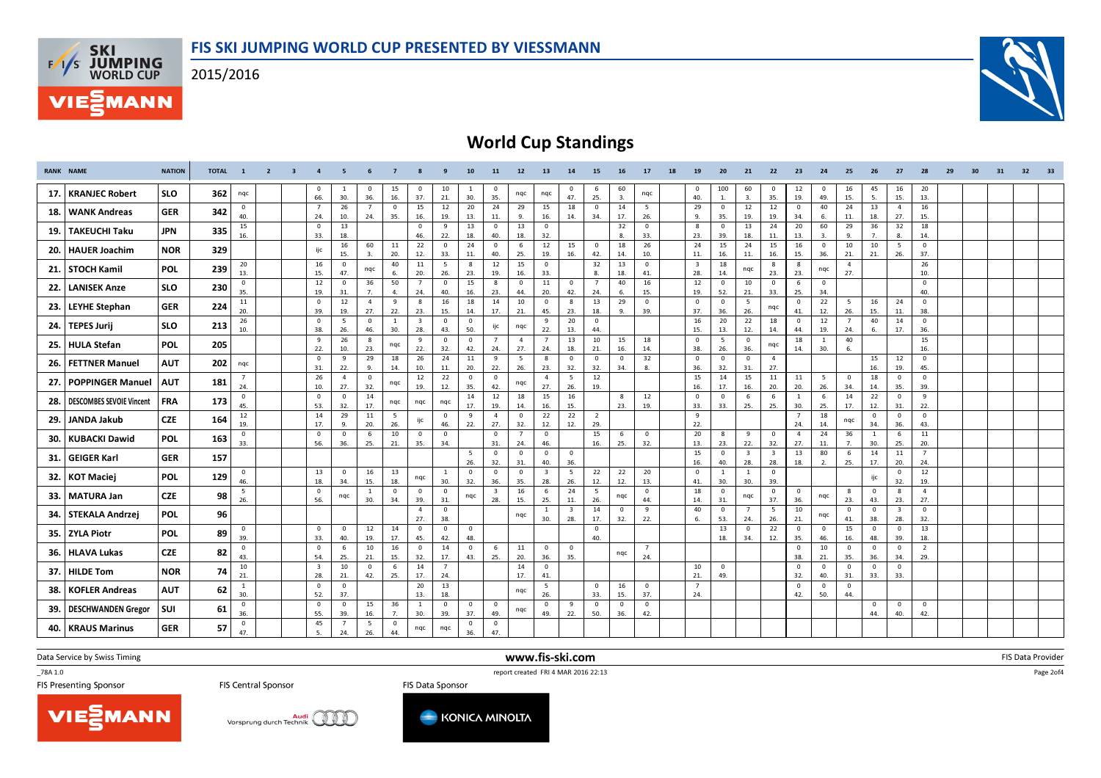2015/2016



# World Cup Standings

| 45<br>$\mathbf 0$<br>15<br>60<br>100<br>60<br>12<br>$\mathbf{0}$<br>16<br>16<br>20<br>$\mathbf{0}$<br>10<br>-6<br>0<br>$\mathbf 0$<br><sup>1</sup><br>0<br>$\mathbf{0}$<br>$^{\circ}$<br>- 1<br><b>SLO</b><br><b>KRANJEC Robert</b><br>362<br>17.<br>nqc<br>nqc<br>nqc<br>nqc<br>25.<br>66.<br>16.<br>30.<br>47.<br>30.<br>36.<br>37.<br>21.<br>35.<br>3.<br>40.<br>35.<br>19.<br>49.<br>15.<br>5.<br>15.<br>13.<br>3.<br>1.<br>15<br>14<br>29<br>24<br>13<br>16<br>26<br>$\mathbf{0}$<br>15<br>12<br>20<br>24<br>29<br>18<br>$\mathbf 0$<br>12<br>12<br>40<br>$\mathbf 0$<br>$\overline{7}$<br>$\overline{7}$<br>5<br>$\overline{4}$<br>$\mathbf 0$<br>$\mathbf 0$<br>18. WANK Andreas<br><b>GER</b><br>342<br>40.<br>24.<br>10.<br>24.<br>35.<br>19.<br>13.<br>16.<br>34.<br>17.<br>26.<br>9.<br>19.<br>11.<br>18.<br>27.<br>16.<br>11.<br>9.<br>14.<br>35.<br>19.<br>34.<br>15.<br>-6.<br>15<br>29<br>32<br>18<br>13<br>13<br>13<br>$\mathbf 0$<br>32<br>8<br>13<br>24<br>20<br>60<br>36<br>$\overline{\mathbf{0}}$<br>9<br>$\mathbf 0$<br>$\mathbf 0$<br>$\mathbf 0$<br>$\mathbf 0$<br><b>JPN</b><br><b>TAKEUCHI Taku</b><br>335<br>19.<br>16.<br>33.<br>18.<br>18.<br>32.<br>23.<br>18.<br>18.<br>46.<br>22.<br>40.<br>8.<br>33.<br>39.<br>11.<br>13.<br>9.<br>7.<br>8.<br>14.<br>3.<br>12<br>24<br>60<br>11<br>22<br>24<br>6<br>15<br>$\mathbf 0$<br>18<br>26<br>15<br>24<br>15<br>16<br>$\mathbf 0$<br>10<br>10<br>5<br>$\mathbf 0$<br>16<br>$\mathbf 0$<br>$\mathbf 0$<br><b>NOR</b><br>329<br>20. HAUER Joachim<br>ijc<br>20.<br>42.<br>15.<br>3.<br>12.<br>33.<br>11.<br>40.<br>25.<br>19.<br>16.<br>14.<br>10.<br>11.<br>11.<br>15.<br>36.<br>21.<br>21.<br>26.<br>37.<br>16.<br>16.<br>20<br>40<br>$11\,$<br>5<br>12<br>15<br>32<br>13<br>26<br>16<br>8<br>$\mathbf 0$<br>$\mathbf 0$<br>$\overline{\mathbf{3}}$<br>18<br>4<br>$^{\circ}$<br>8<br>8<br>STOCH Kamil<br><b>POL</b><br>239<br>21.<br>nqc<br>nqc<br>nqc<br>13.<br>26.<br>23.<br>23.<br>15.<br>47.<br>6.<br>20.<br>19.<br>16.<br>33.<br>8.<br>18.<br>41.<br>28.<br>23.<br>27.<br>10.<br>14.<br>12<br>36<br>50<br>15<br>11<br>$\overline{7}$<br>40<br>16<br>12<br>$\mathbf 0$<br>$\mathbf{0}$<br>8<br>$\mathbf 0$<br>$\mathbf{0}$<br>10<br>$\mathbf 0$<br>6<br>$\mathbf 0$<br>$\mathbf{0}$<br>$\mathbf 0$<br>$\overline{7}$<br>$\mathbf{0}$<br><b>SLO</b><br>230<br><b>LANISEK Anze</b><br>22. |  |
|----------------------------------------------------------------------------------------------------------------------------------------------------------------------------------------------------------------------------------------------------------------------------------------------------------------------------------------------------------------------------------------------------------------------------------------------------------------------------------------------------------------------------------------------------------------------------------------------------------------------------------------------------------------------------------------------------------------------------------------------------------------------------------------------------------------------------------------------------------------------------------------------------------------------------------------------------------------------------------------------------------------------------------------------------------------------------------------------------------------------------------------------------------------------------------------------------------------------------------------------------------------------------------------------------------------------------------------------------------------------------------------------------------------------------------------------------------------------------------------------------------------------------------------------------------------------------------------------------------------------------------------------------------------------------------------------------------------------------------------------------------------------------------------------------------------------------------------------------------------------------------------------------------------------------------------------------------------------------------------------------------------------------------------------------------------------------------------------------------------------------------------------------------------------------------------------------------------------------------------------------------------------------------------------------------------------------------------------------------------------|--|
|                                                                                                                                                                                                                                                                                                                                                                                                                                                                                                                                                                                                                                                                                                                                                                                                                                                                                                                                                                                                                                                                                                                                                                                                                                                                                                                                                                                                                                                                                                                                                                                                                                                                                                                                                                                                                                                                                                                                                                                                                                                                                                                                                                                                                                                                                                                                                                      |  |
|                                                                                                                                                                                                                                                                                                                                                                                                                                                                                                                                                                                                                                                                                                                                                                                                                                                                                                                                                                                                                                                                                                                                                                                                                                                                                                                                                                                                                                                                                                                                                                                                                                                                                                                                                                                                                                                                                                                                                                                                                                                                                                                                                                                                                                                                                                                                                                      |  |
|                                                                                                                                                                                                                                                                                                                                                                                                                                                                                                                                                                                                                                                                                                                                                                                                                                                                                                                                                                                                                                                                                                                                                                                                                                                                                                                                                                                                                                                                                                                                                                                                                                                                                                                                                                                                                                                                                                                                                                                                                                                                                                                                                                                                                                                                                                                                                                      |  |
|                                                                                                                                                                                                                                                                                                                                                                                                                                                                                                                                                                                                                                                                                                                                                                                                                                                                                                                                                                                                                                                                                                                                                                                                                                                                                                                                                                                                                                                                                                                                                                                                                                                                                                                                                                                                                                                                                                                                                                                                                                                                                                                                                                                                                                                                                                                                                                      |  |
|                                                                                                                                                                                                                                                                                                                                                                                                                                                                                                                                                                                                                                                                                                                                                                                                                                                                                                                                                                                                                                                                                                                                                                                                                                                                                                                                                                                                                                                                                                                                                                                                                                                                                                                                                                                                                                                                                                                                                                                                                                                                                                                                                                                                                                                                                                                                                                      |  |
|                                                                                                                                                                                                                                                                                                                                                                                                                                                                                                                                                                                                                                                                                                                                                                                                                                                                                                                                                                                                                                                                                                                                                                                                                                                                                                                                                                                                                                                                                                                                                                                                                                                                                                                                                                                                                                                                                                                                                                                                                                                                                                                                                                                                                                                                                                                                                                      |  |
| 35.<br>19.<br>40.<br>16.<br>23.<br>44.<br>20.<br>42.<br>24.<br>15.<br>19.<br>52.<br>21.<br>33.<br>25.<br>34.<br>40.<br>31.<br>7.<br>$\mathbf{4}$<br>24.<br>6.<br>$12\,$<br>$\overline{4}$<br>9<br>16<br>18<br>14<br>10<br>$\mathbf 0$<br>13<br>29<br>$\mathbf 0$<br>5<br>22<br>5<br>24<br>$\mathbf{0}$<br>11<br>$\overline{0}$<br>8<br>8<br>$\mathbf 0$<br>16<br>$\mathbf 0$<br>$\mathbf 0$                                                                                                                                                                                                                                                                                                                                                                                                                                                                                                                                                                                                                                                                                                                                                                                                                                                                                                                                                                                                                                                                                                                                                                                                                                                                                                                                                                                                                                                                                                                                                                                                                                                                                                                                                                                                                                                                                                                                                                          |  |
| <b>GER</b><br><b>LEYHE Stephan</b><br>224<br>23.<br>nqc<br>20.<br>22.<br>15.<br>26.<br>26.<br>15.<br>39.<br>19.<br>27.<br>23.<br>14.<br>17.<br>21.<br>45.<br>23.<br>18.<br>37.<br>36.<br>12.<br>11.<br>38.<br>9.<br>39.<br>41.                                                                                                                                                                                                                                                                                                                                                                                                                                                                                                                                                                                                                                                                                                                                                                                                                                                                                                                                                                                                                                                                                                                                                                                                                                                                                                                                                                                                                                                                                                                                                                                                                                                                                                                                                                                                                                                                                                                                                                                                                                                                                                                                       |  |
| 16<br>18<br>26<br>$\mathbf 0$<br><sup>1</sup><br>9<br>20<br>20<br>22<br>12<br>$7\overline{ }$<br>40<br>14<br>$\mathbf 0$<br>$\mathbf{0}$<br>5<br>$\overline{\mathbf{3}}$<br>$\mathbf{0}$<br>$\overline{0}$<br>$\mathbf 0$<br>$\mathbf 0$<br>TEPES Jurij<br><b>SLO</b><br>213<br>24.<br>ijc<br>nqc<br>10.<br>30.<br>43.<br>50.<br>22.<br>13.<br>44.<br>12.<br>17.<br>36.<br>38.<br>26.<br>46.<br>28.<br>15.<br>13.<br>14.<br>44.<br>19.<br>24.<br>6.                                                                                                                                                                                                                                                                                                                                                                                                                                                                                                                                                                                                                                                                                                                                                                                                                                                                                                                                                                                                                                                                                                                                                                                                                                                                                                                                                                                                                                                                                                                                                                                                                                                                                                                                                                                                                                                                                                                  |  |
| 26<br>15<br>15<br>9<br>8<br>$\mathbf{0}$<br>$\overline{0}$<br>$\overline{4}$<br>$\overline{7}$<br>13<br>10<br>18<br>$\overline{0}$<br>$\mathbf 0$<br>18<br>40<br>$\overline{7}$<br>-5<br><sup>1</sup><br>-9<br>POL<br><b>HULA Stefan</b><br>205<br>25.<br>nqc<br>nqc<br>10.<br>23.<br>32.<br>42.<br>27.<br>21.<br>16.<br>26.<br>36.<br>22.<br>22.<br>24.<br>24.<br>18.<br>14.<br>38.<br>30.<br>6.<br>16.<br>14.                                                                                                                                                                                                                                                                                                                                                                                                                                                                                                                                                                                                                                                                                                                                                                                                                                                                                                                                                                                                                                                                                                                                                                                                                                                                                                                                                                                                                                                                                                                                                                                                                                                                                                                                                                                                                                                                                                                                                      |  |
| 29<br>18<br>26<br>24<br>11<br>5<br>8<br>32<br>$\mathbf 0$<br>$\overline{0}$<br>9<br>$\mathbf{0}$<br>$\mathbf 0$<br>$\overline{0}$<br>$\mathbf{0}$<br>15<br>12<br>$\overline{0}$<br>9<br>$\mathbf{0}$<br>$\overline{4}$<br><b>FETTNER Manuel</b><br><b>AUT</b><br>202<br>26.<br>nqc<br>23.<br>32.<br>32.<br>27.<br>16.<br>19.<br>31.<br>22.<br>14.<br>10.<br>11.<br>20.<br>22.<br>26.<br>34.<br>36.<br>32.<br>31.<br>45.<br>9.<br>8.                                                                                                                                                                                                                                                                                                                                                                                                                                                                                                                                                                                                                                                                                                                                                                                                                                                                                                                                                                                                                                                                                                                                                                                                                                                                                                                                                                                                                                                                                                                                                                                                                                                                                                                                                                                                                                                                                                                                  |  |
| 26<br>15<br>$\mathbf{0}$<br>12<br>22<br>$\overline{4}$<br>12<br>14<br>15<br>11<br>11<br>5<br>18<br>$\mathbf{0}$<br>$\overline{7}$<br>$\overline{4}$<br>$\overline{\mathbf{0}}$<br>$\mathbf 0$<br>5<br>$\mathbf{0}$<br>$\mathbf 0$<br><b>POPPINGER Manuel</b><br>181<br><b>AUT</b><br>27.<br>nqc<br>nqc                                                                                                                                                                                                                                                                                                                                                                                                                                                                                                                                                                                                                                                                                                                                                                                                                                                                                                                                                                                                                                                                                                                                                                                                                                                                                                                                                                                                                                                                                                                                                                                                                                                                                                                                                                                                                                                                                                                                                                                                                                                               |  |
| 24.<br>27.<br>32.<br>12.<br>35.<br>27.<br>19.<br>16.<br>34.<br>35.<br>10.<br>19.<br>42.<br>26.<br>16.<br>17.<br>20.<br>20.<br>26.<br>14.<br>39.<br>15<br>14<br>14<br>14<br>12<br>16<br>12<br>$\mathbf 0$<br>22<br>18<br>6<br>6<br>9<br>0<br>$\Omega$<br>$\mathbf 0$<br>8<br>-6<br><sup>1</sup><br>$\mathbf 0$<br>$\Omega$<br>173<br><b>DESCOMBES SEVOIE Vincent</b><br><b>FRA</b>                                                                                                                                                                                                                                                                                                                                                                                                                                                                                                                                                                                                                                                                                                                                                                                                                                                                                                                                                                                                                                                                                                                                                                                                                                                                                                                                                                                                                                                                                                                                                                                                                                                                                                                                                                                                                                                                                                                                                                                    |  |
| 28.<br>nqc<br>ngc<br>ngc<br>45.<br>17.<br>17.<br>25.<br>17.<br>53.<br>32.<br>19.<br>14.<br>16.<br>15.<br>23.<br>19.<br>33.<br>33.<br>25.<br>30.<br>25.<br>12.<br>31.<br>22.<br>12<br>14<br>29<br>22<br>22<br>9<br>11<br>$5^{\circ}$<br>9<br>18<br>$\Omega$<br>$\mathbf 0$<br>$\overline{4}$<br>$\mathbf{0}$<br>$\overline{2}$<br>$\overline{7}$<br>$\mathbf 0$<br>$\Omega$                                                                                                                                                                                                                                                                                                                                                                                                                                                                                                                                                                                                                                                                                                                                                                                                                                                                                                                                                                                                                                                                                                                                                                                                                                                                                                                                                                                                                                                                                                                                                                                                                                                                                                                                                                                                                                                                                                                                                                                           |  |
| 164<br><b>JANDA Jakub</b><br><b>CZE</b><br>-29.<br>ijc<br>nqc<br>26.<br>46.<br>29.<br>19.<br>17.<br>9.<br>20.<br>22.<br>27.<br>32.<br>12.<br>12.<br>22.<br>24.<br>14.<br>34.<br>36.<br>43.                                                                                                                                                                                                                                                                                                                                                                                                                                                                                                                                                                                                                                                                                                                                                                                                                                                                                                                                                                                                                                                                                                                                                                                                                                                                                                                                                                                                                                                                                                                                                                                                                                                                                                                                                                                                                                                                                                                                                                                                                                                                                                                                                                           |  |
| 10<br>20<br>24<br>$11\,$<br>$\mathbf 0$<br>$\overline{7}$<br>$\overline{0}$<br>15<br>$\mathbf 0$<br>9<br>$\overline{\mathbf{0}}$<br>$\overline{4}$<br>36<br>$\overline{\mathbf{0}}$<br>$\mathbf 0$<br>- 6<br>$\Omega$<br>$\mathbf{0}$<br>$\mathbf 0$<br>- 6<br>8<br><sup>1</sup><br>6<br><b>KUBACKI Dawid</b><br><b>POL</b><br>163<br>30.<br>22.<br>33.<br>56.<br>25.<br>21.<br>34.<br>31.<br>24.<br>46.<br>16.<br>32.<br>13.<br>23.<br>32.<br>27.<br>30.<br>25.<br>36.<br>35.<br>25.<br>11.<br>7.<br>20.                                                                                                                                                                                                                                                                                                                                                                                                                                                                                                                                                                                                                                                                                                                                                                                                                                                                                                                                                                                                                                                                                                                                                                                                                                                                                                                                                                                                                                                                                                                                                                                                                                                                                                                                                                                                                                                            |  |
| 15<br>$\overline{0}$<br>$\overline{\mathbf{3}}$<br>13<br>80<br>6<br>14<br>11<br>$\overline{7}$<br>5<br>$\mathbf 0$<br>$\mathbf{0}$<br>$\mathbf 0$<br>$^{\circ}$<br>$\overline{\mathbf{3}}$<br><b>GER</b><br>157<br><b>GEIGER Karl</b><br>31.<br>36.<br>17.<br>26.<br>31.<br>40.<br>16.<br>28.<br>28.<br>18.<br>25.<br>20.<br>24.<br>32.<br>40.<br>2.                                                                                                                                                                                                                                                                                                                                                                                                                                                                                                                                                                                                                                                                                                                                                                                                                                                                                                                                                                                                                                                                                                                                                                                                                                                                                                                                                                                                                                                                                                                                                                                                                                                                                                                                                                                                                                                                                                                                                                                                                 |  |
| 13<br>13<br>$\overline{\mathbf{3}}$<br>5<br>22<br>22<br>20<br>12<br>0<br>$^{\circ}$<br>16<br>$\overline{\mathbf{0}}$<br>$\mathbf 0$<br>$\mathbf{0}$<br>$\overline{0}$<br>$\mathbf{1}$<br>$\overline{\mathbf{0}}$<br>$\mathbf{1}$<br>$\overline{0}$<br>-1<br><b>POL</b><br>129<br><b>KOT Maciej</b><br>ijc<br>32.<br>nqc<br>30.<br>46.<br>18.<br>34.<br>15.<br>18.<br>32.<br>36.<br>35.<br>28.<br>26.<br>12.<br>12.<br>13.<br>30.<br>39.<br>32.<br>19.<br>41.<br>30.                                                                                                                                                                                                                                                                                                                                                                                                                                                                                                                                                                                                                                                                                                                                                                                                                                                                                                                                                                                                                                                                                                                                                                                                                                                                                                                                                                                                                                                                                                                                                                                                                                                                                                                                                                                                                                                                                                  |  |
| 18<br>5<br>16<br>6<br>24<br>$\overline{\mathbf{0}}$<br>$\mathbf{0}$<br>$\mathbf{0}$<br>$\overline{\mathbf{3}}$<br>- 5<br>$\mathbf 0$<br>$\overline{\mathbf{0}}$<br>8<br>$\mathbf 0$<br>8<br>$\overline{4}$<br><sup>1</sup><br>$\Omega$<br>$\Omega$<br>$\mathbf 0$<br><b>CZE</b><br>98<br>MATURA Jan<br>33.<br>nqc<br>nqc<br>nqc<br>nqc<br>ngc<br>26.<br>56.<br>25.<br>26.<br>37.<br>23.<br>27.<br>34.<br>39.<br>31.<br>28.<br>15.<br>44.<br>14.<br>31.<br>36.<br>43.<br>23.<br>30.<br>11.                                                                                                                                                                                                                                                                                                                                                                                                                                                                                                                                                                                                                                                                                                                                                                                                                                                                                                                                                                                                                                                                                                                                                                                                                                                                                                                                                                                                                                                                                                                                                                                                                                                                                                                                                                                                                                                                            |  |
| 40<br>14<br>9<br>5<br>10<br>$\mathbf{0}$<br><sup>1</sup><br>$\overline{\mathbf{3}}$<br>$\overline{0}$<br>$\mathbf{0}$<br>$\overline{7}$<br>$\mathbf{0}$<br>$\mathbf{0}$<br>$\overline{\mathbf{3}}$<br>$\overline{0}$<br>$\overline{4}$<br><b>POL</b><br>96<br>STEKALA Andrzej<br>34.<br>ngc<br>nqc                                                                                                                                                                                                                                                                                                                                                                                                                                                                                                                                                                                                                                                                                                                                                                                                                                                                                                                                                                                                                                                                                                                                                                                                                                                                                                                                                                                                                                                                                                                                                                                                                                                                                                                                                                                                                                                                                                                                                                                                                                                                   |  |
| 38.<br>27.<br>28.<br>17.<br>32.<br>6.<br>53.<br>24.<br>26.<br>41.<br>38.<br>28.<br>32.<br>30.<br>22.<br>21.<br>13<br>22<br>15<br>13<br>$\mathbf{0}$<br>12<br>14<br>$\overline{0}$<br>$\mathbf 0$<br>$\mathbf{0}$<br>$\overline{\mathbf{0}}$<br>$\mathbf 0$<br>$\overline{0}$<br>$\mathbf 0$<br>$\mathbf{0}$<br>$\mathbf{0}$<br>$\overline{\mathbf{0}}$<br>$\mathbf{0}$<br>POL<br>89<br><b>ZYLA Piotr</b><br>35.                                                                                                                                                                                                                                                                                                                                                                                                                                                                                                                                                                                                                                                                                                                                                                                                                                                                                                                                                                                                                                                                                                                                                                                                                                                                                                                                                                                                                                                                                                                                                                                                                                                                                                                                                                                                                                                                                                                                                      |  |
| 39.<br>19.<br>17.<br>48.<br>40.<br>33.<br>40.<br>42.<br>34.<br>12.<br>35.<br>46.<br>16.<br>48.<br>39.<br>18.<br>45.<br>18.<br>16<br>$\overline{0}$<br>$\overline{0}$<br>10<br>14<br>$\overline{0}$<br>11<br>$\mathbf{0}$<br>10<br>$\mathbf{0}$<br>$\overline{2}$<br>$\mathbf{0}$<br>-6<br>$\mathbf 0$<br>$\overline{7}$<br>$\mathbf 0$<br>$\mathbf{0}$<br>$\mathbf 0$<br>-6<br><b>CZE</b>                                                                                                                                                                                                                                                                                                                                                                                                                                                                                                                                                                                                                                                                                                                                                                                                                                                                                                                                                                                                                                                                                                                                                                                                                                                                                                                                                                                                                                                                                                                                                                                                                                                                                                                                                                                                                                                                                                                                                                            |  |
| 82<br>HLAVA Lukas<br>36.<br>nqc<br>43.<br>54.<br>15.<br>21.<br>35.<br>25.<br>21.<br>32.<br>17.<br>43.<br>25.<br>20.<br>36.<br>35.<br>24.<br>38.<br>36.<br>34.<br>29.<br>10<br>$\overline{\mathbf{3}}$<br>10<br>6<br>14<br>14<br>10<br>$\mathbf{0}$<br>$\overline{7}$<br>$\overline{0}$<br>$\Omega$<br>$\mathbf 0$<br>$\mathbf{0}$<br>$\mathbf{0}$<br>$\mathbf 0$<br>$\mathbf 0$                                                                                                                                                                                                                                                                                                                                                                                                                                                                                                                                                                                                                                                                                                                                                                                                                                                                                                                                                                                                                                                                                                                                                                                                                                                                                                                                                                                                                                                                                                                                                                                                                                                                                                                                                                                                                                                                                                                                                                                      |  |
| <b>NOR</b><br><b>HILDE Tom</b><br>74<br>37.<br>21.<br>28.<br>25.<br>24.<br>17.<br>41.<br>21.<br>49.<br>32.<br>40.<br>31.<br>33.<br>33.<br>21.<br>42.<br>17.                                                                                                                                                                                                                                                                                                                                                                                                                                                                                                                                                                                                                                                                                                                                                                                                                                                                                                                                                                                                                                                                                                                                                                                                                                                                                                                                                                                                                                                                                                                                                                                                                                                                                                                                                                                                                                                                                                                                                                                                                                                                                                                                                                                                          |  |
| 20<br>13<br>$5^{\circ}$<br>16<br>$\overline{7}$<br>$\mathbf{0}$<br>$\mathbf{1}$<br>$\overline{0}$<br>$\mathbf 0$<br>$\mathbf 0$<br>$\overline{\mathbf{0}}$<br>$\overline{\mathbf{0}}$<br>$\mathbf 0$<br><b>KOFLER Andreas</b><br><b>AUT</b><br>62<br>38.<br>nqc<br>30.<br>52.<br>37.<br>18.<br>26.<br>33.<br>15.<br>37.<br>24.<br>42.<br>50.<br>44.<br>13.                                                                                                                                                                                                                                                                                                                                                                                                                                                                                                                                                                                                                                                                                                                                                                                                                                                                                                                                                                                                                                                                                                                                                                                                                                                                                                                                                                                                                                                                                                                                                                                                                                                                                                                                                                                                                                                                                                                                                                                                           |  |
| 15<br>36<br>$\mathbf 0$<br>$\mathbf 0$<br>$\overline{0}$<br>$\mathbf 0$<br>$\overline{0}$<br>$\mathbf 0$<br>$\overline{0}$<br>9<br>$\overline{\mathbf{0}}$<br>$\mathbf 0$<br>$\mathbf 0$<br>$\mathbf{0}$<br>$\mathbf 0$<br>$\mathbf{1}$<br>$\mathbf 0$<br>DESCHWANDEN Gregor<br>SUI<br>61<br>39.<br>nqc<br>36.<br>55.<br>39.<br>37.<br>22.<br>50.<br>36.<br>40.<br>42.<br>39.<br>16.<br>30.<br>49.<br>49.<br>42.<br>44.<br>7.                                                                                                                                                                                                                                                                                                                                                                                                                                                                                                                                                                                                                                                                                                                                                                                                                                                                                                                                                                                                                                                                                                                                                                                                                                                                                                                                                                                                                                                                                                                                                                                                                                                                                                                                                                                                                                                                                                                                        |  |
| 45<br>5<br>$\overline{0}$<br>$\mathbf{0}$<br>$\overline{\mathbf{0}}$<br>$\overline{7}$<br>$\mathbf 0$<br>40.   KRAUS Marinus<br><b>GER</b><br>57<br>nqc<br>nqc<br>47.<br>24.<br>26.<br>36.<br>47.<br>5.<br>44.                                                                                                                                                                                                                                                                                                                                                                                                                                                                                                                                                                                                                                                                                                                                                                                                                                                                                                                                                                                                                                                                                                                                                                                                                                                                                                                                                                                                                                                                                                                                                                                                                                                                                                                                                                                                                                                                                                                                                                                                                                                                                                                                                       |  |

Data Service by Swiss Timing

\_78A 1.0

**FIS Central Sponsor** 

TERRY 1.0<br>
FIS Presenting Sponsor<br>
FIS Presenting Sponsor<br>
FIS Presenting Sponsor<br>
FIS Presenting Sponsor FIS Data Sponsor

www.fis-ski.com

m FIS Data Provider<br>Canada

Page 2of4

VIESMANN

**F/T/S SKI<br>WORLD CUP** 

**MANN** 



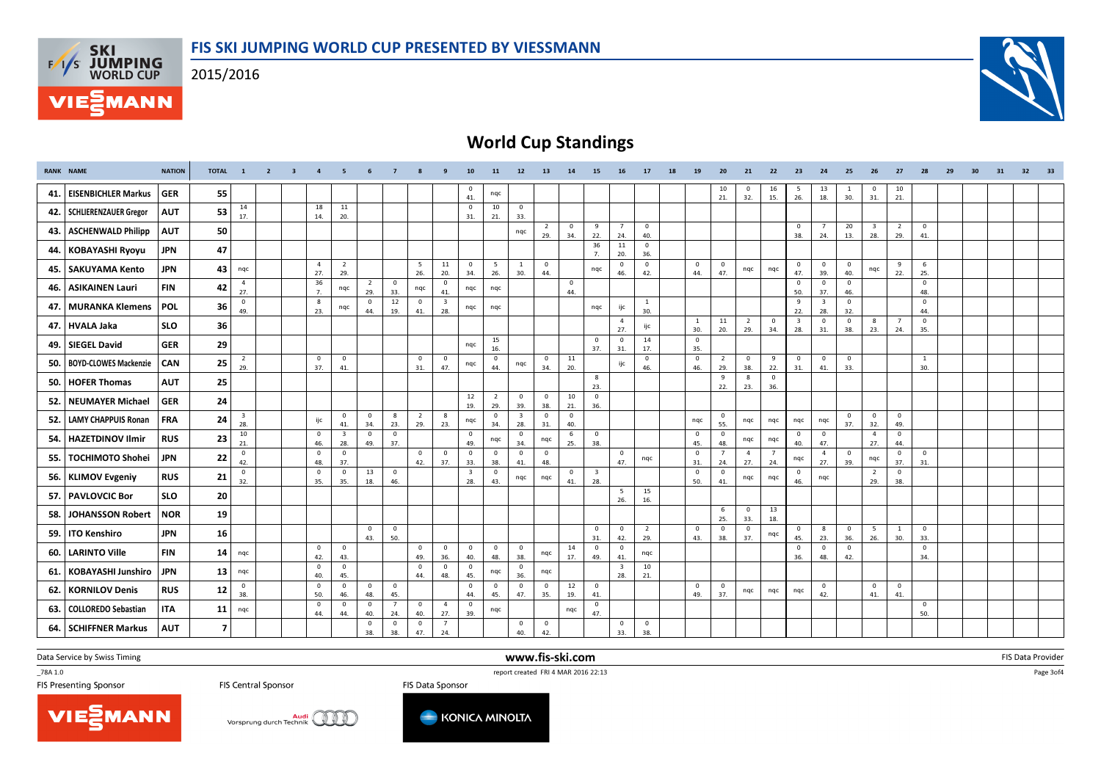2015/2016

**F/T/S SKI<br>WORLD CUP** 

**MANN** 



# World Cup Standings

|     | <b>RANK NAME</b>             | <b>NATION</b> | TOTAL 1        |                                | $\overline{2}$ | $\overline{\mathbf{3}}$ | $\overline{4}$                 | 5                              |                       |                       |                       | $\mathbf{q}$                   | 10                             | 11                    | 12                             | 13                    | 14                  | 15                             | 16                             | 17                             | 18 | 19                  | 20                             | 21                    | 22                    | 23                             | 24                             | 25                    | 26                             | 27                    | 28                    | 29 | 30 | 31 | 32 | 33 |
|-----|------------------------------|---------------|----------------|--------------------------------|----------------|-------------------------|--------------------------------|--------------------------------|-----------------------|-----------------------|-----------------------|--------------------------------|--------------------------------|-----------------------|--------------------------------|-----------------------|---------------------|--------------------------------|--------------------------------|--------------------------------|----|---------------------|--------------------------------|-----------------------|-----------------------|--------------------------------|--------------------------------|-----------------------|--------------------------------|-----------------------|-----------------------|----|----|----|----|----|
| 41. | <b>EISENBICHLER Markus</b>   | <b>GER</b>    | 55             |                                |                |                         |                                |                                |                       |                       |                       |                                | $\mathbf 0$<br>41.             | nqc                   |                                |                       |                     |                                |                                |                                |    |                     | 10<br>21.                      | $^{\circ}$<br>32.     | 16<br>15.             | - 5<br>26.                     | 13<br>18.                      | <sup>1</sup><br>30.   | $\mathbf{0}$<br>31.            | 10<br>21.             |                       |    |    |    |    |    |
|     | 42.   SCHLIERENZAUER Gregor  | <b>AUT</b>    | 53             | 14<br>17.                      |                |                         | 18<br>14.                      | 11<br>20.                      |                       |                       |                       |                                | $\overline{\mathbf{0}}$<br>31. | 10<br>21.             | $\overline{\mathbf{0}}$<br>33. |                       |                     |                                |                                |                                |    |                     |                                |                       |                       |                                |                                |                       |                                |                       |                       |    |    |    |    |    |
| 43. | <b>ASCHENWALD Philipp</b>    | <b>AUT</b>    | 50             |                                |                |                         |                                |                                |                       |                       |                       |                                |                                |                       | nqc                            | 2<br>29.              | $\mathbf{0}$<br>34. | 9<br>22.                       | $\overline{7}$<br>24.          | $\overline{\mathbf{0}}$<br>40. |    |                     |                                |                       |                       | $\overline{0}$<br>38.          | $7\overline{ }$<br>24.         | 20<br>13.             | $\overline{\mathbf{3}}$<br>28. | $\overline{2}$<br>29. | $\overline{0}$<br>41. |    |    |    |    |    |
|     | 44. KOBAYASHI Ryoyu          | <b>JPN</b>    | 47             |                                |                |                         |                                |                                |                       |                       |                       |                                |                                |                       |                                |                       |                     | 36<br>7.                       | 11<br>20.                      | $\overline{\mathbf{0}}$<br>36. |    |                     |                                |                       |                       |                                |                                |                       |                                |                       |                       |    |    |    |    |    |
| 45. | SAKUYAMA Kento               | <b>JPN</b>    | 43             | nqc                            |                |                         | $\overline{4}$<br>27.          | $\overline{2}$<br>29.          |                       |                       | 5<br>26.              | 11<br>20.                      | $\mathbf{0}$<br>34.            | 5<br>26.              | $\mathbf{1}$<br>30.            | $\overline{0}$<br>44. |                     | nqc                            | $\pmb{0}$<br>46.               | $\overline{\mathbf{0}}$<br>42. |    | $\mathbf{0}$<br>44. | $\mathbf{0}$<br>47.            | nqc                   | nqc                   | $\overline{0}$<br>47.          | $\overline{0}$<br>39.          | $\overline{0}$<br>40. | nqc                            | 9<br>22.              | 6<br>25.              |    |    |    |    |    |
| 46. | <b>ASIKAINEN Lauri</b>       | <b>FIN</b>    | 42             | $\overline{4}$<br>27.          |                |                         | 36<br>7.                       | nqc                            | $\overline{2}$<br>29. | $\overline{0}$<br>33. | nqc                   | $\mathbf{0}$<br>41.            | nqc                            | nqc                   |                                |                       | $\mathbf{0}$<br>44. |                                |                                |                                |    |                     |                                |                       |                       | $\mathbf{0}$<br>50.            | $\mathbf{0}$<br>37.            | $\overline{0}$<br>46. |                                |                       | $\mathbf{0}$<br>48.   |    |    |    |    |    |
| 47. | <b>MURANKA Klemens</b>       | <b>POL</b>    | 36             | $\mathbf 0$<br>49.             |                |                         | 8<br>23.                       | nqc                            | $\mathbf{0}$<br>44.   | 12<br>19.             | $\mathbf{0}$<br>41.   | $\overline{\mathbf{3}}$<br>28. | nqc                            | nqc                   |                                |                       |                     | nqc                            | ijc                            | $\mathbf{1}$<br>30.            |    |                     |                                |                       |                       | 9<br>22.                       | $\overline{\mathbf{3}}$<br>28. | $\overline{0}$<br>32. |                                |                       | $\overline{0}$<br>44. |    |    |    |    |    |
| 47. | HVALA Jaka                   | <b>SLO</b>    | 36             |                                |                |                         |                                |                                |                       |                       |                       |                                |                                |                       |                                |                       |                     |                                | $\overline{4}$<br>27.          | ijc                            |    | $\mathbf{1}$<br>30. | 11<br>20.                      | $\overline{2}$<br>29. | $\mathbf 0$<br>34.    | $\overline{\mathbf{3}}$<br>28. | $\mathbf 0$<br>31.             | $\overline{0}$<br>38. | 8<br>23.                       | $\overline{7}$<br>24. | $\overline{0}$<br>35. |    |    |    |    |    |
| 49. | <b>SIEGEL David</b>          | <b>GER</b>    | 29             |                                |                |                         |                                |                                |                       |                       |                       |                                | nqc                            | 15<br>16.             |                                |                       |                     | $\mathbf{0}$<br>37.            | $\overline{\mathbf{0}}$<br>31. | 14<br>17.                      |    | $\mathbf{0}$<br>35. |                                |                       |                       |                                |                                |                       |                                |                       |                       |    |    |    |    |    |
| 50. | <b>BOYD-CLOWES Mackenzie</b> | <b>CAN</b>    | 25             | $\overline{2}$<br>29.          |                |                         | $\mathbf 0$<br>37.             | $\mathbf 0$<br>41.             |                       |                       | $\Omega$<br>31.       | $\mathbf 0$<br>47.             | nqc                            | $\mathbf 0$<br>44.    | nqc                            | $\mathbf 0$<br>34.    | 11<br>20.           |                                | ijc                            | $\mathbf 0$<br>46.             |    | $\mathbf 0$<br>46.  | $\overline{2}$<br>29.          | $\Omega$<br>38.       | 9<br>22.              | $\overline{0}$<br>31.          | $\mathbf{0}$<br>41.            | $\mathbf 0$<br>33.    |                                |                       | <sup>1</sup><br>30.   |    |    |    |    |    |
| 50. | <b>HOFER Thomas</b>          | <b>AUT</b>    | 25             |                                |                |                         |                                |                                |                       |                       |                       |                                |                                |                       |                                |                       |                     | 8<br>23.                       |                                |                                |    |                     | 9<br>22.                       | 8<br>23.              | $\mathbf 0$<br>36.    |                                |                                |                       |                                |                       |                       |    |    |    |    |    |
| 52. | <b>NEUMAYER Michael</b>      | <b>GER</b>    | 24             |                                |                |                         |                                |                                |                       |                       |                       |                                | 12<br>19.                      | $\overline{2}$<br>29. | $\overline{0}$<br>39.          | $\mathbf{0}$<br>38.   | 10<br>21.           | $\mathbf{0}$<br>36.            |                                |                                |    |                     |                                |                       |                       |                                |                                |                       |                                |                       |                       |    |    |    |    |    |
| 52. | <b>LAMY CHAPPUIS Ronan</b>   | <b>FRA</b>    | 24             | $\overline{\mathbf{3}}$<br>28. |                |                         | ijc                            | $\mathbf{0}$<br>41.            | $\overline{0}$<br>34. | 8<br>23.              | $\overline{2}$<br>29. | 8<br>23.                       | nqc                            | $\pmb{0}$<br>34.      | $\overline{\mathbf{3}}$<br>28. | $\overline{0}$<br>31. | $\mathbf{0}$<br>40. |                                |                                |                                |    | nqc                 | $\mathbf 0$<br>55.             | nqc                   | ngc                   | nqc                            | nqc                            | $\overline{0}$<br>37. | $\overline{0}$<br>32.          | $\overline{0}$<br>49. |                       |    |    |    |    |    |
| 54. | <b>HAZETDINOV Ilmir</b>      | <b>RUS</b>    | 23             | 10<br>21.                      |                |                         | $\overline{\mathbf{0}}$<br>46. | $\overline{\mathbf{3}}$<br>28. | $\mathbf 0$<br>49.    | $\overline{0}$<br>37. |                       |                                | $\pmb{0}$<br>49.               | nqc                   | $\pmb{0}$<br>34.               | nqc                   | 6<br>25.            | $\mathbf 0$<br>38.             |                                |                                |    | $\mathbf 0$<br>45.  | $\overline{\mathbf{0}}$<br>48. | nqc                   | nqc                   | $\pmb{0}$<br>40.               | $\mathbf{0}$<br>47.            |                       | $\overline{4}$<br>27.          | $\overline{0}$<br>44. |                       |    |    |    |    |    |
| 55. | <b>TOCHIMOTO Shohei</b>      | <b>JPN</b>    | 22             | $\mathbf 0$<br>42.             |                |                         | $\overline{\mathbf{0}}$<br>48. | $\mathbf 0$<br>37.             |                       |                       | $\mathbf{0}$<br>42.   | $\overline{\mathbf{0}}$<br>37. | $\overline{0}$<br>33.          | $\mathbf{0}$<br>38.   | $\overline{0}$<br>41.          | $\overline{0}$<br>48. |                     |                                | $\mathbf 0$<br>47.             | nqc                            |    | $\mathbf 0$<br>31.  | $\overline{7}$<br>24.          | $\overline{a}$<br>27. | $\overline{7}$<br>24. | nqc                            | $\overline{4}$<br>27.          | $\mathbf{0}$<br>39.   | nqc                            | $\mathbf 0$<br>37.    | $\mathbf{0}$<br>31.   |    |    |    |    |    |
|     | 56. KLIMOV Evgeniy           | <b>RUS</b>    | 21             | $\mathbf{0}$<br>32.            |                |                         | $\overline{\mathbf{0}}$<br>35. | $\mathbf 0$<br>35.             | 13<br>18.             | $\overline{0}$<br>46. |                       |                                | $\overline{\mathbf{3}}$<br>28. | $\mathbf{0}$<br>43.   | nqc                            | ngc                   | $\mathbf 0$<br>41.  | $\overline{\mathbf{3}}$<br>28. |                                |                                |    | $\mathbf 0$<br>50.  | $\mathbf 0$<br>41.             | nqc                   | nqc                   | $\overline{\mathbf{0}}$<br>46. | nqc                            |                       | $\overline{2}$<br>29.          | $\overline{0}$<br>38. |                       |    |    |    |    |    |
| 57. | <b>PAVLOVCIC Bor</b>         | <b>SLO</b>    | 20             |                                |                |                         |                                |                                |                       |                       |                       |                                |                                |                       |                                |                       |                     |                                | 5<br>26.                       | 15<br>16.                      |    |                     |                                |                       |                       |                                |                                |                       |                                |                       |                       |    |    |    |    |    |
| 58. | <b>JOHANSSON Robert</b>      | NOR           | 19             |                                |                |                         |                                |                                |                       |                       |                       |                                |                                |                       |                                |                       |                     |                                |                                |                                |    |                     | -6<br>25.                      | $^{\circ}$<br>33.     | 13<br>18.             |                                |                                |                       |                                |                       |                       |    |    |    |    |    |
| 59. | <b>ITO Kenshiro</b>          | <b>JPN</b>    | 16             |                                |                |                         |                                |                                | $\mathbf{0}$<br>43.   | $\overline{0}$<br>50. |                       |                                |                                |                       |                                |                       |                     | $\mathbf{0}$<br>31.            | $\mathbf 0$<br>42.             | $\overline{2}$<br>29.          |    | $\mathbf{0}$<br>43. | $\mathbf{0}$<br>38.            | $^{\circ}$<br>37.     | nqc                   | $\overline{0}$<br>45.          | 8<br>23.                       | $\mathbf{0}$<br>36.   | - 5<br>26.                     | <sup>1</sup><br>30.   | $\mathbf{0}$<br>33.   |    |    |    |    |    |
| 60. | <b>LARINTO Ville</b>         | <b>FIN</b>    | 14             | nqc                            |                |                         | $\overline{0}$<br>42.          | $\mathbf{0}$<br>43.            |                       |                       | $\mathbf{0}$<br>49.   | $\mathbf{0}$<br>36.            | $\overline{0}$<br>40.          | $\mathbf{0}$<br>48.   | $\overline{0}$<br>38.          | nqc                   | 14<br>17.           | $\overline{0}$<br>49.          | $\overline{\mathbf{0}}$<br>41. | nqc                            |    |                     |                                |                       |                       | $\overline{\mathbf{0}}$<br>36. | $\mathbf{0}$<br>48.            | $\overline{0}$<br>42. |                                |                       | $\overline{0}$<br>34. |    |    |    |    |    |
| 61. | <b>KOBAYASHI Junshiro</b>    | <b>JPN</b>    | 13             | nqc                            |                |                         | $\overline{\mathbf{0}}$<br>40. | $\mathbf 0$<br>45.             |                       |                       | $^{\circ}$<br>44.     | $\mathbf{0}$<br>48.            | $\overline{\mathbf{0}}$<br>45. | nqc                   | $\mathbf{0}$<br>36.            | nqc                   |                     |                                | $\overline{\mathbf{3}}$<br>28. | 10<br>21.                      |    |                     |                                |                       |                       |                                |                                |                       |                                |                       |                       |    |    |    |    |    |
| 62. | <b>KORNILOV Denis</b>        | <b>RUS</b>    | 12             | $\overline{0}$<br>38.          |                |                         | $\overline{0}$<br>50.          | $\mathbf 0$<br>46.             | $\mathbf{0}$<br>48.   | $\mathbf{0}$<br>45.   |                       |                                | $\mathbf 0$<br>44.             | $\mathbf 0$<br>45.    | $\overline{0}$<br>47.          | $\overline{0}$<br>35. | 12<br>19.           | $\mathbf{0}$<br>41.            |                                |                                |    | $\mathbf{0}$<br>49. | $\Omega$<br>37.                | nqc                   | nqc                   | nqc                            | $\mathbf 0$<br>42.             |                       | $\mathbf 0$<br>41.             | $\mathbf 0$<br>41.    |                       |    |    |    |    |    |
| 63. | <b>COLLOREDO Sebastian</b>   | <b>ITA</b>    | 11             | nqc                            |                |                         | $\overline{0}$<br>44.          | $\mathbf 0$<br>44.             | $\mathbf{0}$<br>40.   | $\overline{7}$<br>24. | $\mathbf{0}$<br>40.   | $\overline{4}$<br>27.          | $\overline{0}$<br>39.          | nqc                   |                                |                       | nqc                 | $\mathbf{0}$<br>47.            |                                |                                |    |                     |                                |                       |                       |                                |                                |                       |                                |                       | $\overline{0}$<br>50. |    |    |    |    |    |
| 64. | <b>SCHIFFNER Markus</b>      | <b>AUT</b>    | $\overline{7}$ |                                |                |                         |                                |                                | $\overline{0}$<br>38. | $\mathbf{0}$<br>38.   | $\mathbf 0$<br>47.    | $\overline{7}$<br>24.          |                                |                       | $\overline{0}$<br>40.          | $\overline{0}$<br>42. |                     |                                | $\overline{0}$<br>33.          | $\overline{0}$<br>38.          |    |                     |                                |                       |                       |                                |                                |                       |                                |                       |                       |    |    |    |    |    |

www.fis-ski.com

Data Service by Swiss Timing

\_78A 1.0

**FIS Central Sponsor** 

TO THE TEST CHANNEL TRANSPORT THE SCHELL TRANSPORT THE SCHELL TRANSPORT TRANSPORT TRANSPORT TRANSPORT TRANSPORT TRANSPORT TRANSPORT TRANSPORT TRANSPORT TRANSPORT TRANSPORT TRANSPORT TRANSPORT TRANSPORT TRANSPORT TRANSPORT FIS Data Sponsor





m FIS Data Provider<br>Canada

Page 3of4